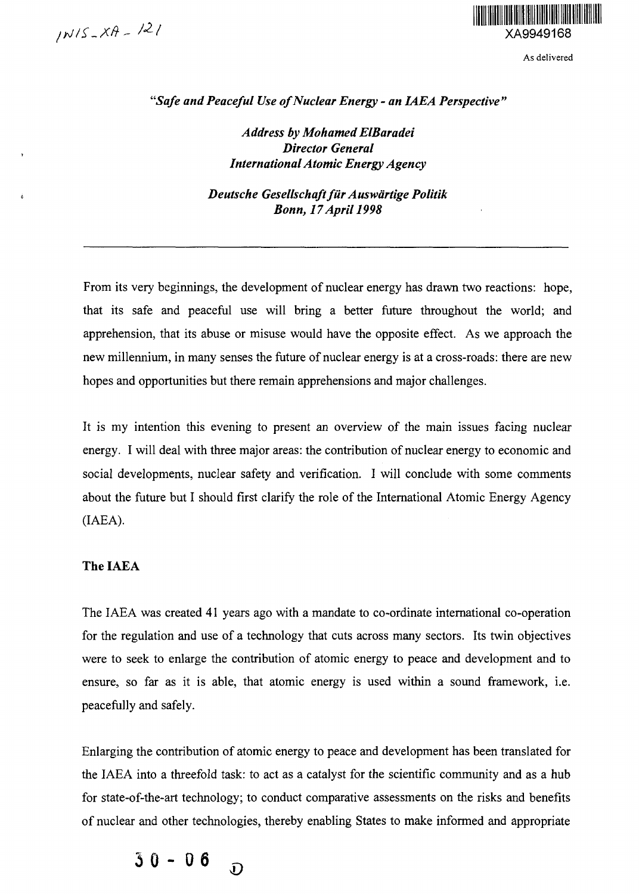

As delivered

*"Safe and Peaceful Use of Nuclear Energy - an IAEA Perspective"*

*Address by Mohamed ElBaradei Director General International Atomic Energy Agency*

*Deutsche Gesellschaftfur Auswdrtige Politik Bonn, 17 April 1998*

From its very beginnings, the development of nuclear energy has drawn two reactions: hope, that its safe and peaceful use will bring a better future throughout the world; and apprehension, that its abuse or misuse would have the opposite effect. As we approach the new millennium, in many senses the future of nuclear energy is at a cross-roads: there are new hopes and opportunities but there remain apprehensions and major challenges.

It is my intention this evening to present an overview of the main issues facing nuclear energy. I will deal with three major areas: the contribution of nuclear energy to economic and social developments, nuclear safety and verification. I will conclude with some comments about the future but I should first clarify the role of the International Atomic Energy Agency (IAEA).

## **The IAEA**

The IAEA was created 41 years ago with a mandate to co-ordinate international co-operation for the regulation and use of a technology that cuts across many sectors. Its twin objectives were to seek to enlarge the contribution of atomic energy to peace and development and to ensure, so far as it is able, that atomic energy is used within a sound framework, i.e. peacefully and safely.

Enlarging the contribution of atomic energy to peace and development has been translated for the IAEA into a threefold task: to act as a catalyst for the scientific community and as a hub for state-of-the-art technology; to conduct comparative assessments on the risks and benefits of nuclear and other technologies, thereby enabling States to make informed and appropriate

**30-0 6 o**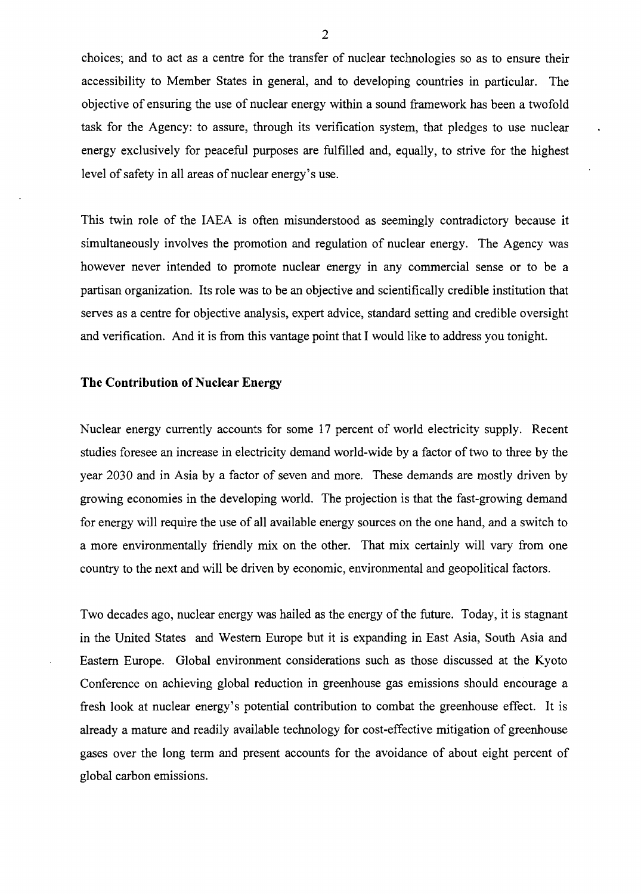choices; and to act as a centre for the transfer of nuclear technologies so as to ensure their accessibility to Member States in general, and to developing countries in particular. The objective of ensuring the use of nuclear energy within a sound framework has been a twofold task for the Agency: to assure, through its verification system, that pledges to use nuclear energy exclusively for peaceful purposes are fulfilled and, equally, to strive for the highest level of safety in all areas of nuclear energy's use.

This twin role of the IAEA is often misunderstood as seemingly contradictory because it simultaneously involves the promotion and regulation of nuclear energy. The Agency was however never intended to promote nuclear energy in any commercial sense or to be a partisan organization. Its role was to be an objective and scientifically credible institution that serves as a centre for objective analysis, expert advice, standard setting and credible oversight and verification. And it is from this vantage point that I would like to address you tonight.

### **The Contribution of Nuclear Energy**

Nuclear energy currently accounts for some 17 percent of world electricity supply. Recent studies foresee an increase in electricity demand world-wide by a factor of two to three by the year 2030 and in Asia by a factor of seven and more. These demands are mostly driven by growing economies in the developing world. The projection is that the fast-growing demand for energy will require the use of all available energy sources on the one hand, and a switch to a more environmentally friendly mix on the other. That mix certainly will vary from one country to the next and will be driven by economic, environmental and geopolitical factors.

Two decades ago, nuclear energy was hailed as the energy of the future. Today, it is stagnant in the United States and Western Europe but it is expanding in East Asia, South Asia and Eastern Europe. Global environment considerations such as those discussed at the Kyoto Conference on achieving global reduction in greenhouse gas emissions should encourage a fresh look at nuclear energy's potential contribution to combat the greenhouse effect. It is already a mature and readily available technology for cost-effective mitigation of greenhouse gases over the long term and present accounts for the avoidance of about eight percent of global carbon emissions.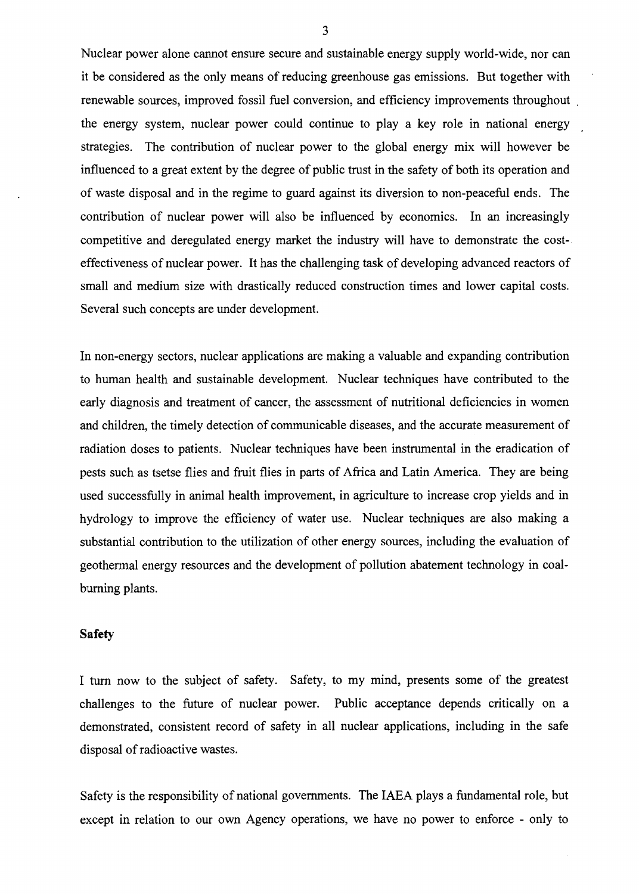Nuclear power alone cannot ensure secure and sustainable energy supply world-wide, nor can it be considered as the only means of reducing greenhouse gas emissions. But together with renewable sources, improved fossil fuel conversion, and efficiency improvements throughout the energy system, nuclear power could continue to play a key role in national energy strategies. The contribution of nuclear power to the global energy mix will however be influenced to a great extent by the degree of public trust in the safety of both its operation and of waste disposal and in the regime to guard against its diversion to non-peaceful ends. The contribution of nuclear power will also be influenced by economics. In an increasingly competitive and deregulated energy market the industry will have to demonstrate the costeffectiveness of nuclear power. It has the challenging task of developing advanced reactors of small and medium size with drastically reduced construction times and lower capital costs. Several such concepts are under development.

In non-energy sectors, nuclear applications are making a valuable and expanding contribution to human health and sustainable development. Nuclear techniques have contributed to the early diagnosis and treatment of cancer, the assessment of nutritional deficiencies in women and children, the timely detection of communicable diseases, and the accurate measurement of radiation doses to patients. Nuclear techniques have been instrumental in the eradication of pests such as tsetse flies and fruit flies in parts of Africa and Latin America. They are being used successfully in animal health improvement, in agriculture to increase crop yields and in hydrology to improve the efficiency of water use. Nuclear techniques are also making a substantial contribution to the utilization of other energy sources, including the evaluation of geothermal energy resources and the development of pollution abatement technology in coalburning plants.

## **Safety**

**I** turn now to the subject of safety. Safety, to my mind, presents some of the greatest challenges to the future of nuclear power. Public acceptance depends critically on a demonstrated, consistent record of safety in all nuclear applications, including in the safe disposal of radioactive wastes.

Safety is the responsibility of national governments. The IAEA plays a fundamental role, but except in relation to our own Agency operations, we have no power to enforce - only to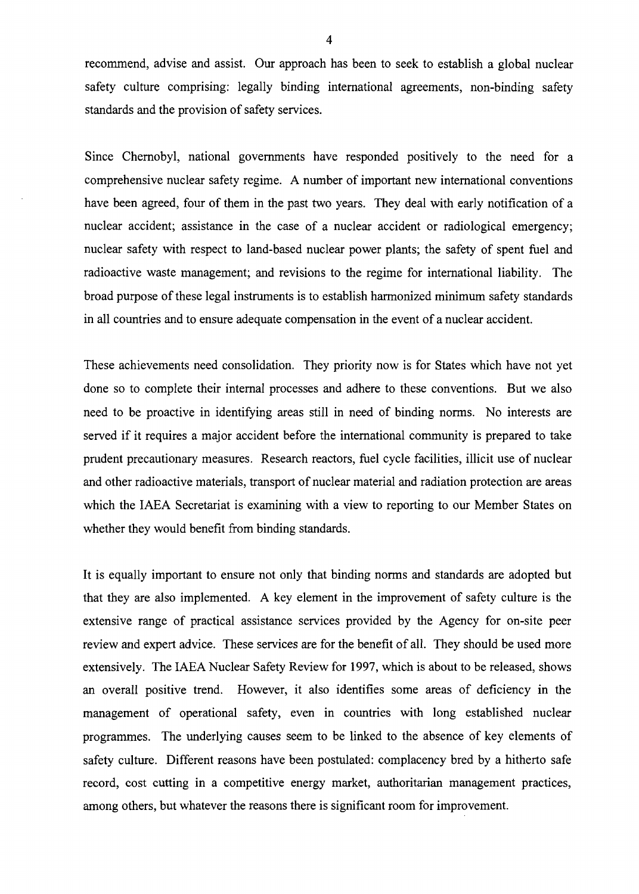recommend, advise and assist. Our approach has been to seek to establish a global nuclear safety culture comprising: legally binding international agreements, non-binding safety standards and the provision of safety services.

Since Chernobyl, national governments have responded positively to the need for a comprehensive nuclear safety regime. A number of important new international conventions have been agreed, four of them in the past two years. They deal with early notification of a nuclear accident; assistance in the case of a nuclear accident or radiological emergency; nuclear safety with respect to land-based nuclear power plants; the safety of spent fuel and radioactive waste management; and revisions to the regime for international liability. The broad purpose of these legal instruments is to establish harmonized minimum safety standards in all countries and to ensure adequate compensation in the event of a nuclear accident.

These achievements need consolidation. They priority now is for States which have not yet done so to complete their internal processes and adhere to these conventions. But we also need to be proactive in identifying areas still in need of binding norms. No interests are served if it requires a major accident before the international community is prepared to take prudent precautionary measures. Research reactors, fuel cycle facilities, illicit use of nuclear and other radioactive materials, transport of nuclear material and radiation protection are areas which the IAEA Secretariat is examining with a view to reporting to our Member States on whether they would benefit from binding standards.

It is equally important to ensure not only that binding norms and standards are adopted but that they are also implemented. A key element in the improvement of safety culture is the extensive range of practical assistance services provided by the Agency for on-site peer review and expert advice. These services are for the benefit of all. They should be used more extensively. The IAEA Nuclear Safety Review for 1997, which is about to be released, shows an overall positive trend. However, it also identifies some areas of deficiency in the management of operational safety, even in countries with long established nuclear programmes. The underlying causes seem to be linked to the absence of key elements of safety culture. Different reasons have been postulated: complacency bred by a hitherto safe record, cost cutting in a competitive energy market, authoritarian management practices, among others, but whatever the reasons there is significant room for improvement.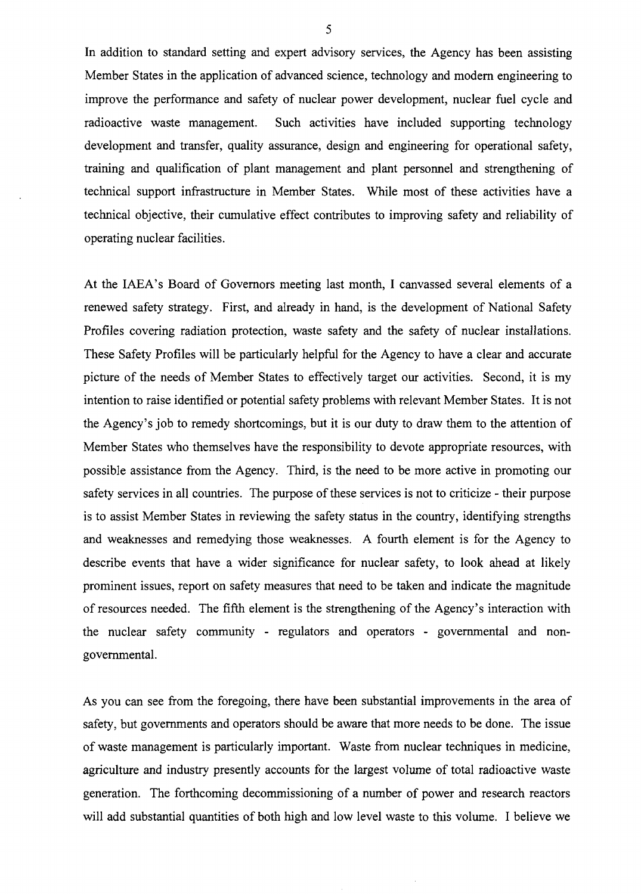In addition to standard setting and expert advisory services, the Agency has been assisting Member States in the application of advanced science, technology and modern engineering to improve the performance and safety of nuclear power development, nuclear fuel cycle and radioactive waste management. Such activities have included supporting technology development and transfer, quality assurance, design and engineering for operational safety, training and qualification of plant management and plant personnel and strengthening of technical support infrastructure in Member States. While most of these activities have a technical objective, their cumulative effect contributes to improving safety and reliability of operating nuclear facilities.

At the IAEA's Board of Governors meeting last month, I canvassed several elements of a renewed safety strategy. First, and already in hand, is the development of National Safety Profiles covering radiation protection, waste safety and the safety of nuclear installations. These Safety Profiles will be particularly helpful for the Agency to have a clear and accurate picture of the needs of Member States to effectively target our activities. Second, it is my intention to raise identified or potential safety problems with relevant Member States. It is not the Agency's job to remedy shortcomings, but it is our duty to draw them to the attention of Member States who themselves have the responsibility to devote appropriate resources, with possible assistance from the Agency. Third, is the need to be more active in promoting our safety services in all countries. The purpose of these services is not to criticize - their purpose is to assist Member States in reviewing the safety status in the country, identifying strengths and weaknesses and remedying those weaknesses. A fourth element is for the Agency to describe events that have a wider significance for nuclear safety, to look ahead at likely prominent issues, report on safety measures that need to be taken and indicate the magnitude of resources needed. The fifth element is the strengthening of the Agency's interaction with the nuclear safety community - regulators and operators - governmental and nongovernmental.

As you can see from the foregoing, there have been substantial improvements in the area of safety, but governments and operators should be aware that more needs to be done. The issue of waste management is particularly important. Waste from nuclear techniques in medicine, agriculture and industry presently accounts for the largest volume of total radioactive waste generation. The forthcoming decommissioning of a number of power and research reactors will add substantial quantities of both high and low level waste to this volume. I believe we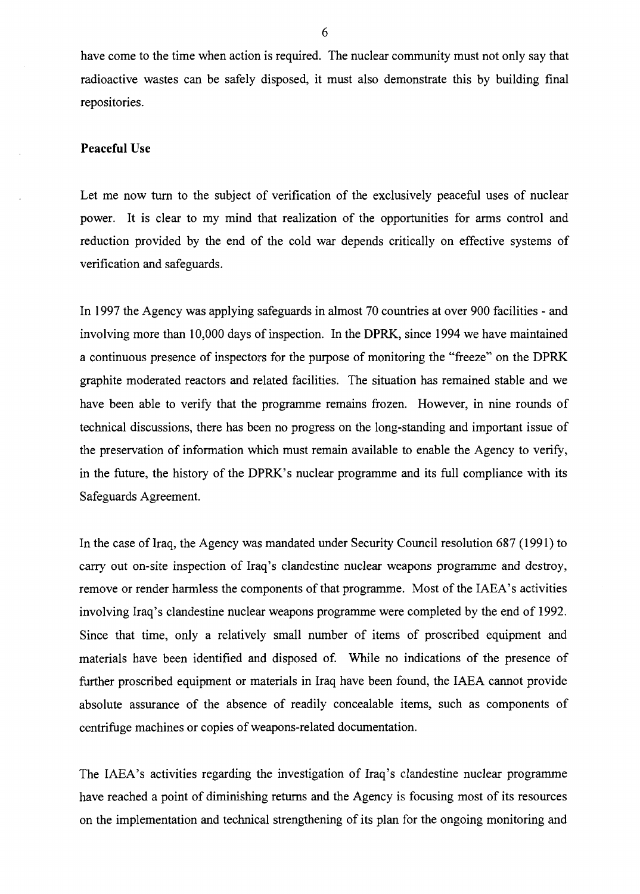have come to the time when action is required. The nuclear community must not only say that radioactive wastes can be safely disposed, it must also demonstrate this by building final repositories.

# **Peaceful Use**

Let me now turn to the subject of verification of the exclusively peaceful uses of nuclear power. It is clear to my mind that realization of the opportunities for arms control and reduction provided by the end of the cold war depends critically on effective systems of verification and safeguards.

In 1997 the Agency was applying safeguards in almost 70 countries at over 900 facilities - and involving more than 10,000 days of inspection. In the **DPRK,** since 1994 we have maintained a continuous presence of inspectors for the purpose of monitoring the "freeze" on the DPRK graphite moderated reactors and related facilities. The situation has remained stable and we have been able to verify that the programme remains frozen. However, in nine rounds of technical discussions, there has been no progress on the long-standing and important issue of the preservation of information which must remain available to enable the Agency to verify, in the future, the history of the DPRK's nuclear programme and its full compliance with its Safeguards Agreement.

In the case of Iraq, the Agency was mandated under Security Council resolution 687 (1991) to carry out on-site inspection of Iraq's clandestine nuclear weapons programme and destroy, remove or render harmless the components of that programme. Most of the IAEA's activities involving Iraq's clandestine nuclear weapons programme were completed by the end of 1992. Since that time, only a relatively small number of items of proscribed equipment and materials have been identified and disposed of. While no indications of the presence of further proscribed equipment or materials in Iraq have been found, the IAEA cannot provide absolute assurance of the absence of readily concealable items, such as components of centrifuge machines or copies of weapons-related documentation.

The IAEA's activities regarding the investigation of Iraq's clandestine nuclear programme have reached a point of diminishing returns and the Agency is focusing most of its resources on the implementation and technical strengthening of its plan for the ongoing monitoring and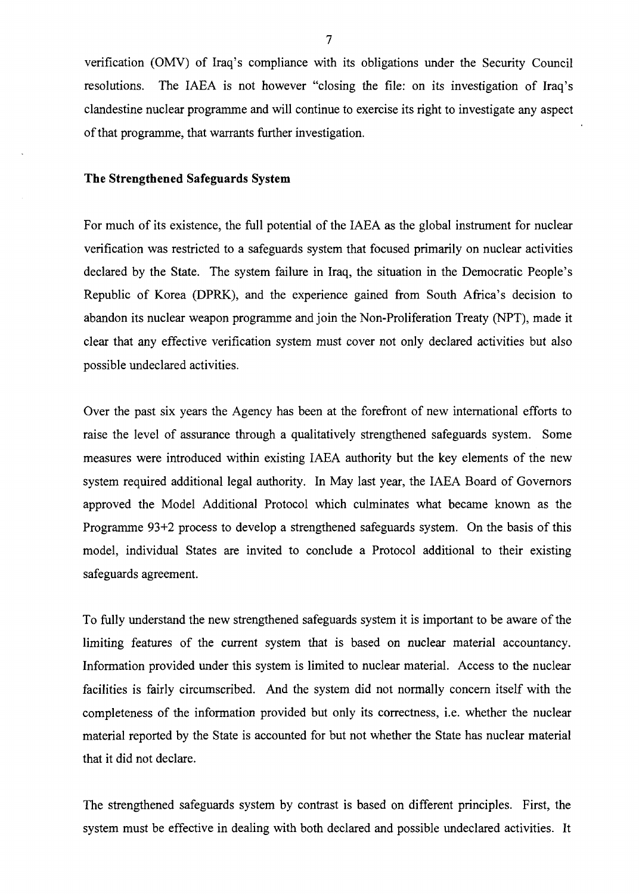verification (OMV) of Iraq's compliance with its obligations under the Security Council resolutions. The IAEA is not however "closing the file: on its investigation of Iraq's clandestine nuclear programme and will continue to exercise its right to investigate any aspect of that programme, that warrants further investigation.

## **The Strengthened Safeguards System**

For much of its existence, the full potential of the IAEA as the global instrument for nuclear verification was restricted to a safeguards system that focused primarily on nuclear activities declared by the State. The system failure in Iraq, the situation in the Democratic People's Republic of Korea (DPRK), and the experience gained from South Africa's decision to abandon its nuclear weapon programme and join the Non-Proliferation Treaty (NPT), made it clear that any effective verification system must cover not only declared activities but also possible undeclared activities.

Over the past six years the Agency has been at the forefront of new international efforts to raise the level of assurance through a qualitatively strengthened safeguards system. Some measures were introduced within existing IAEA authority but the key elements of the new system required additional legal authority. In May last year, the IAEA Board of Governors approved the Model Additional Protocol which culminates what became known as the Programme 93+2 process to develop a strengthened safeguards system. On the basis of this model, individual States are invited to conclude a Protocol additional to their existing safeguards agreement.

To fully understand the new strengthened safeguards system it is important to be aware of the limiting features of the current system that is based on nuclear material accountancy. Information provided under this system is limited to nuclear material. Access to the nuclear facilities is fairly circumscribed. And the system did not normally concern itself with the completeness of the information provided but only its correctness, i.e. whether the nuclear material reported by the State is accounted for but not whether the State has nuclear material that it did not declare.

The strengthened safeguards system by contrast is based on different principles. First, the system must be effective in dealing with both declared and possible undeclared activities. It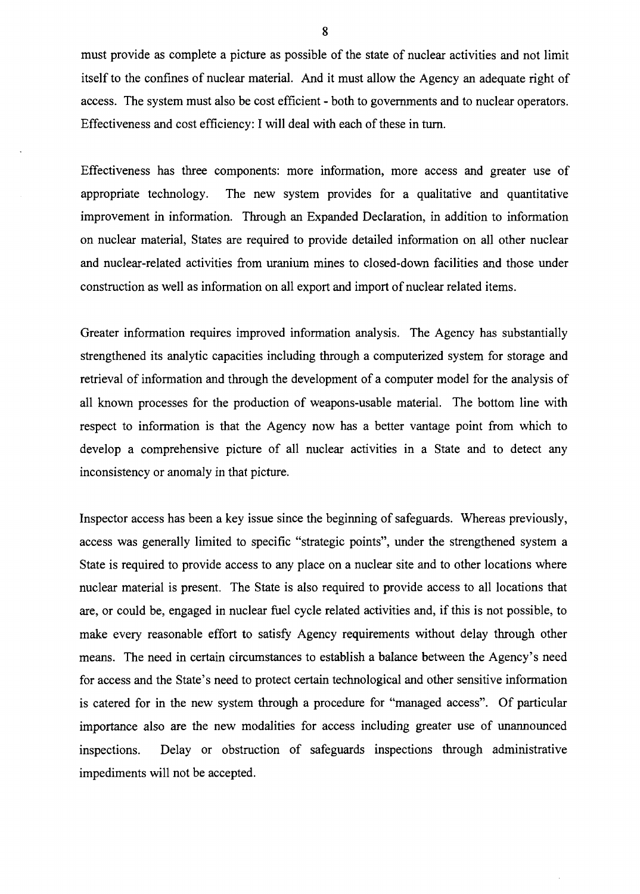must provide as complete a picture as possible of the state of nuclear activities and not limit itself to the confines of nuclear material. And it must allow the Agency an adequate right of access. The system must also be cost efficient - both to governments and to nuclear operators. Effectiveness and cost efficiency: I will deal with each of these in turn.

Effectiveness has three components: more information, more access and greater use of appropriate technology. The new system provides for a qualitative and quantitative improvement in information. Through an Expanded Declaration, in addition to information on nuclear material, States are required to provide detailed information on all other nuclear and nuclear-related activities from uranium mines to closed-down facilities and those under construction as well as information on all export and import of nuclear related items.

Greater information requires improved information analysis. The Agency has substantially strengthened its analytic capacities including through a computerized system for storage and retrieval of information and through the development of a computer model for the analysis of all known processes for the production of weapons-usable material. The bottom line with respect to information is that the Agency now has a better vantage point from which to develop a comprehensive picture of all nuclear activities in a State and to detect any inconsistency or anomaly in that picture.

Inspector access has been a key issue since the beginning of safeguards. Whereas previously, access was generally limited to specific "strategic points", under the strengthened system a State is required to provide access to any place on a nuclear site and to other locations where nuclear material is present. The State is also required to provide access to all locations that are, or could be, engaged in nuclear fuel cycle related activities and, if this is not possible, to make every reasonable effort to satisfy Agency requirements without delay through other means. The need in certain circumstances to establish a balance between the Agency's need for access and the State's need to protect certain technological and other sensitive information is catered for in the new system through a procedure for "managed access". Of particular importance also are the new modalities for access including greater use of unannounced inspections. Delay or obstruction of safeguards inspections through administrative impediments will not be accepted.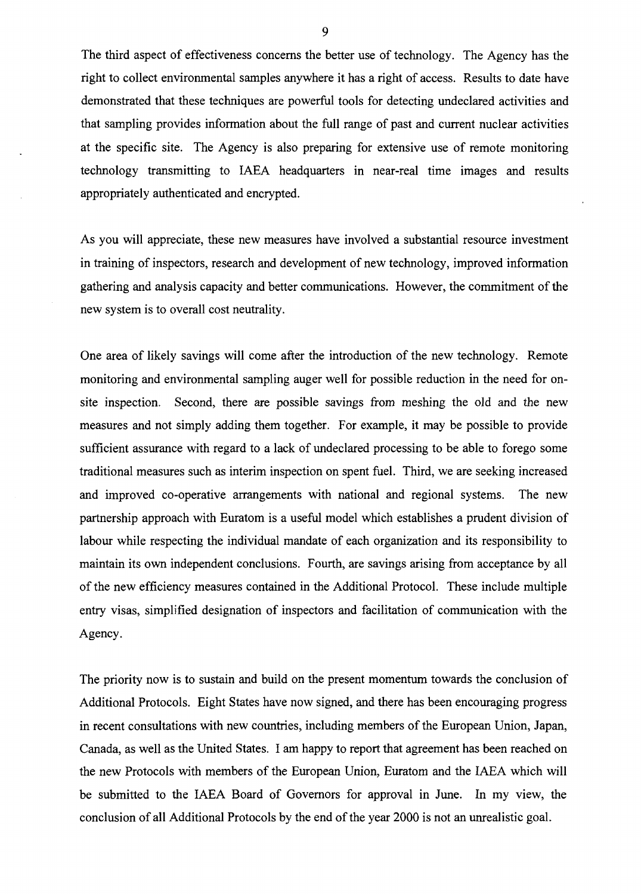The third aspect of effectiveness concerns the better use of technology. The Agency has the right to collect environmental samples anywhere it has a right of access. Results to date have demonstrated that these techniques are powerful tools for detecting undeclared activities and that sampling provides information about the full range of past and current nuclear activities at the specific site. The Agency is also preparing for extensive use of remote monitoring technology transmitting to IAEA headquarters in near-real time images and results appropriately authenticated and encrypted.

As you will appreciate, these new measures have involved a substantial resource investment in training of inspectors, research and development of new technology, improved information gathering and analysis capacity and better communications. However, the commitment of the new system is to overall cost neutrality.

One area of likely savings will come after the introduction of the new technology. Remote monitoring and environmental sampling auger well for possible reduction in the need for onsite inspection. Second, there are possible savings from meshing the old and the new measures and not simply adding them together. For example, it may be possible to provide sufficient assurance with regard to a lack of undeclared processing to be able to forego some traditional measures such as interim inspection on spent fuel. Third, we are seeking increased and improved co-operative arrangements with national and regional systems. The new partnership approach with Euratom is a useful model which establishes a prudent division of labour while respecting the individual mandate of each organization and its responsibility to maintain its own independent conclusions. Fourth, are savings arising from acceptance by all of the new efficiency measures contained in the Additional Protocol. These include multiple entry visas, simplified designation of inspectors and facilitation of communication with the Agency.

The priority now is to sustain and build on the present momentum towards the conclusion of Additional Protocols. Eight States have now signed, and there has been encouraging progress in recent consultations with new countries, including members of the European Union, Japan, Canada, as well as the United States. I am happy to report that agreement has been reached on the new Protocols with members of the European Union, Euratom and the IAEA which will be submitted to the IAEA Board of Governors for approval in June. In my view, the conclusion of all Additional Protocols by the end of the year 2000 is not an unrealistic goal.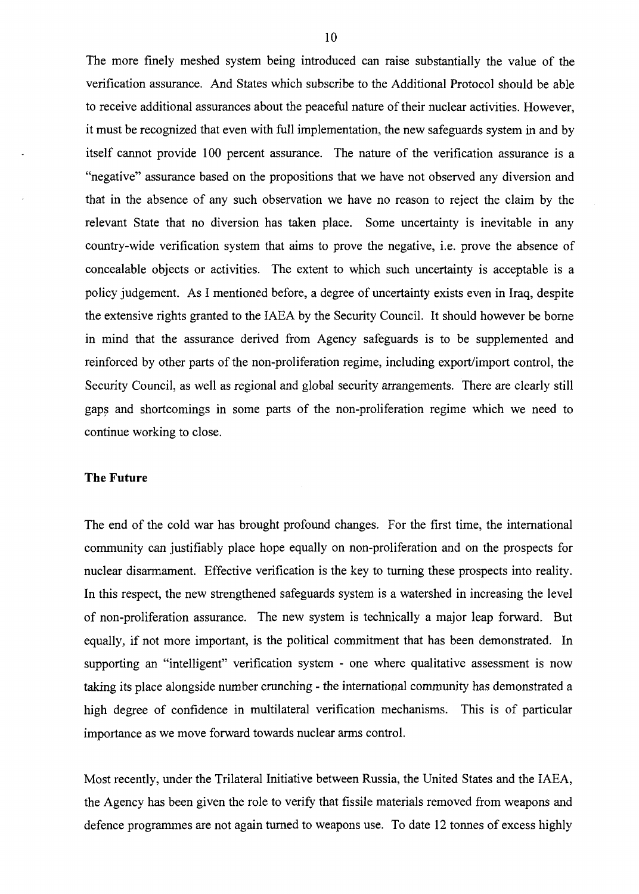The more finely meshed system being introduced can raise substantially the value of the verification assurance. And States which subscribe to the Additional Protocol should be able to receive additional assurances about the peaceful nature of their nuclear activities. However, it must be recognized that even with full implementation, the new safeguards system in and by itself cannot provide 100 percent assurance. The nature of the verification assurance is a "negative" assurance based on the propositions that we have not observed any diversion and that in the absence of any such observation we have no reason to reject the claim by the relevant State that no diversion has taken place. Some uncertainty is inevitable in any country-wide verification system that aims to prove the negative, i.e. prove the absence of concealable objects or activities. The extent to which such uncertainty is acceptable is a policy judgement. As I mentioned before, a degree of uncertainty exists even in Iraq, despite the extensive rights granted to the IAEA by the Security Council. It should however be borne in mind that the assurance derived from Agency safeguards is to be supplemented and reinforced by other parts of the non-proliferation regime, including export/import control, the Security Council, as well as regional and global security arrangements. There are clearly still gaps and shortcomings in some parts of the non-proliferation regime which we need to continue working to close.

### **The Future**

The end of the cold war has brought profound changes. For the first time, the international community can justifiably place hope equally on non-proliferation and on the prospects for nuclear disarmament. Effective verification is the key to turning these prospects into reality. In this respect, the new strengthened safeguards system is a watershed in increasing the level of non-proliferation assurance. The new system is technically a major leap forward. But equally, if not more important, is the political commitment that has been demonstrated. In supporting an "intelligent" verification system - one where qualitative assessment is now taking its place alongside number crunching - the international community has demonstrated a high degree of confidence in multilateral verification mechanisms. This is of particular importance as we move forward towards nuclear arms control.

Most recently, under the Trilateral Initiative between Russia, the United States and the IAEA, the Agency has been given the role to verify that fissile materials removed from weapons and defence programmes are not again turned to weapons use. To date 12 tonnes of excess highly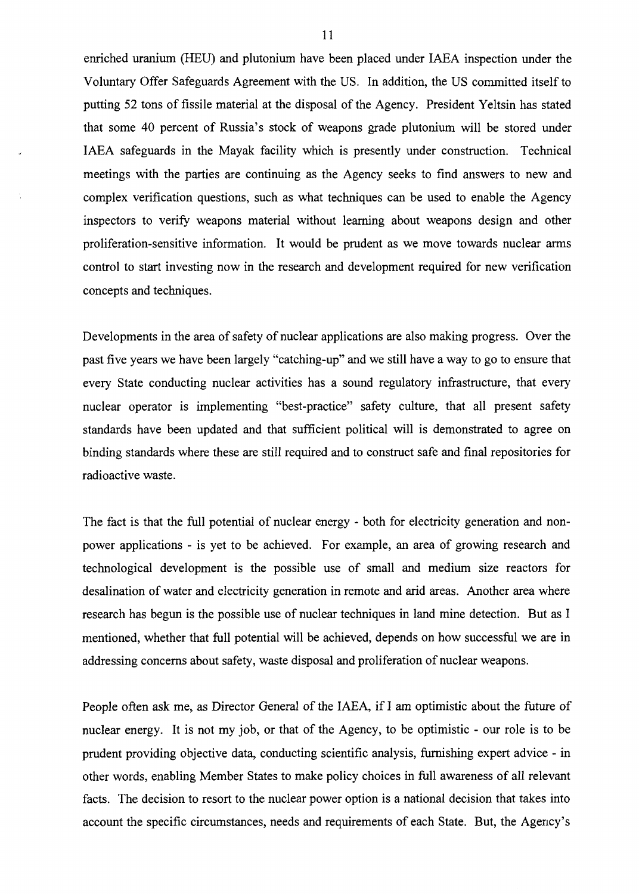enriched uranium (HEU) and plutonium have been placed under IAEA inspection under the Voluntary Offer Safeguards Agreement with the US. In addition, the US committed itself to putting 52 tons of fissile material at the disposal of the Agency. President Yeltsin has stated that some 40 percent of Russia's stock of weapons grade plutonium will be stored under IAEA safeguards in the Mayak facility which is presently under construction. Technical meetings with the parties are continuing as the Agency seeks to find answers to new and complex verification questions, such as what techniques can be used to enable the Agency inspectors to verify weapons material without learning about weapons design and other proliferation-sensitive information. It would be prudent as we move towards nuclear arms control to start investing now in the research and development required for new verification concepts and techniques.

Developments in the area of safety of nuclear applications are also making progress. Over the past five years we have been largely "catching-up" and we still have a way to go to ensure that every State conducting nuclear activities has a sound regulatory infrastructure, that every nuclear operator is implementing "best-practice" safety culture, that all present safety standards have been updated and that sufficient political will is demonstrated to agree on binding standards where these are still required and to construct safe and final repositories for radioactive waste.

The fact is that the full potential of nuclear energy - both for electricity generation and nonpower applications - is yet to be achieved. For example, an area of growing research and technological development is the possible use of small and medium size reactors for desalination of water and electricity generation in remote and arid areas. Another area where research has begun is the possible use of nuclear techniques in land mine detection. But as I mentioned, whether that full potential will be achieved, depends on how successful we are in addressing concerns about safety, waste disposal and proliferation of nuclear weapons.

People often ask me, as Director General of the IAEA, if I am optimistic about the future of nuclear energy. It is not my job, or that of the Agency, to be optimistic - our role is to be prudent providing objective data, conducting scientific analysis, furnishing expert advice - in other words, enabling Member States to make policy choices in full awareness of all relevant facts. The decision to resort to the nuclear power option is a national decision that takes into account the specific circumstances, needs and requirements of each State. But, the Agency's